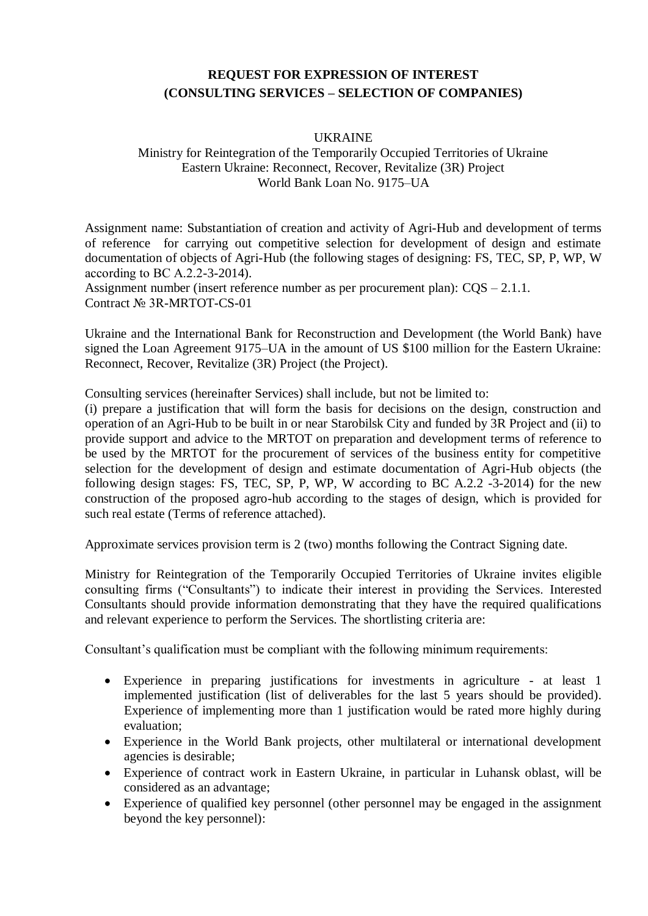# **REQUEST FOR EXPRESSION OF INTEREST (CONSULTING SERVICES – SELECTION OF COMPANIES)**

#### UKRAINE

### Ministry for Reintegration of the Temporarily Occupied Territories of Ukraine Eastern Ukraine: Reconnect, Recover, Revitalize (3R) Project World Bank Loan No. 9175–UA

Assignment name: Substantiation of creation and activity of Agri-Hub and development of terms of reference for carrying out competitive selection for development of design and estimate documentation of objects of Agri-Hub (the following stages of designing: FS, TEC, SP, P, WP, W according to BС A.2.2-3-2014).

Assignment number (insert reference number as per procurement plan): CQS – 2.1.1. Contract № 3R-MRTOT-CS-01

Ukraine and the International Bank for Reconstruction and Development (the World Bank) have signed the Loan Agreement 9175–UA in the amount of US \$100 million for the Eastern Ukraine: Reconnect, Recover, Revitalize (3R) Project (the Project).

Consulting services (hereinafter Services) shall include, but not be limited to:

(i) prepare a justification that will form the basis for decisions on the design, construction and operation of an Agri-Hub to be built in or near Starobilsk City and funded by 3R Project and (ii) to provide support and advice to the MRTOT on preparation and development terms of reference to be used by the MRTOT for the procurement of services of the business entity for competitive selection for the development of design and estimate documentation of Agri-Hub objects (the following design stages: FS, TEC, SP, P, WP, W according to BC A.2.2 -3-2014) for the new construction of the proposed agro-hub according to the stages of design, which is provided for such real estate (Terms of reference attached).

Approximate services provision term is 2 (two) months following the Contract Signing date.

Ministry for Reintegration of the Temporarily Occupied Territories of Ukraine invites eligible consulting firms ("Consultants") to indicate their interest in providing the Services. Interested Consultants should provide information demonstrating that they have the required qualifications and relevant experience to perform the Services. The shortlisting criteria are:

Consultant's qualification must be compliant with the following minimum requirements:

- Experience in preparing justifications for investments in agriculture at least 1 implemented justification (list of deliverables for the last 5 years should be provided). Experience of implementing more than 1 justification would be rated more highly during evaluation;
- Experience in the World Bank projects, other multilateral or international development agencies is desirable;
- Experience of contract work in Eastern Ukraine, in particular in Luhansk oblast, will be considered as an advantage;
- Experience of qualified key personnel (other personnel may be engaged in the assignment beyond the key personnel):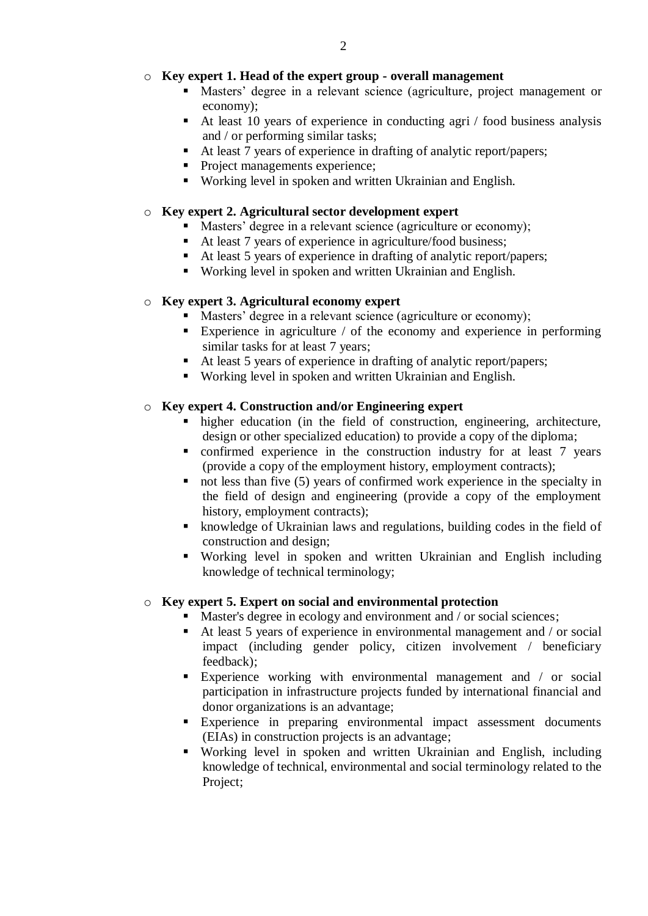## o **Key expert 1. Head of the expert group - overall management**

- Masters' degree in a relevant science (agriculture, project management or economy);
- At least 10 years of experience in conducting agri / food business analysis and / or performing similar tasks;
- At least 7 years of experience in drafting of analytic report/papers;
- Project managements experience;
- Working level in spoken and written Ukrainian and English.

## o **Key expert 2. Agricultural sector development expert**

- Masters' degree in a relevant science (agriculture or economy);
- At least 7 years of experience in agriculture/food business;
- At least 5 years of experience in drafting of analytic report/papers;
- Working level in spoken and written Ukrainian and English.

## o **Key expert 3. Agricultural economy expert**

- Masters' degree in a relevant science (agriculture or economy);
- Experience in agriculture  $\ell$  of the economy and experience in performing similar tasks for at least 7 years;
- At least 5 years of experience in drafting of analytic report/papers;
- Working level in spoken and written Ukrainian and English.

## o **Key expert 4. Construction and/or Engineering expert**

- higher education (in the field of construction, engineering, architecture, design or other specialized education) to provide a copy of the diploma;
- confirmed experience in the construction industry for at least 7 years (provide a copy of the employment history, employment contracts);
- $\blacksquare$  not less than five (5) years of confirmed work experience in the specialty in the field of design and engineering (provide a copy of the employment history, employment contracts);
- knowledge of Ukrainian laws and regulations, building codes in the field of construction and design;
- Working level in spoken and written Ukrainian and English including knowledge of technical terminology;

#### o **Key expert 5. Expert on social and environmental protection**

- Master's degree in ecology and environment and / or social sciences;
- At least 5 years of experience in environmental management and / or social impact (including gender policy, citizen involvement / beneficiary feedback);
- Experience working with environmental management and / or social participation in infrastructure projects funded by international financial and donor organizations is an advantage;
- Experience in preparing environmental impact assessment documents (EIAs) in construction projects is an advantage;
- Working level in spoken and written Ukrainian and English, including knowledge of technical, environmental and social terminology related to the Project;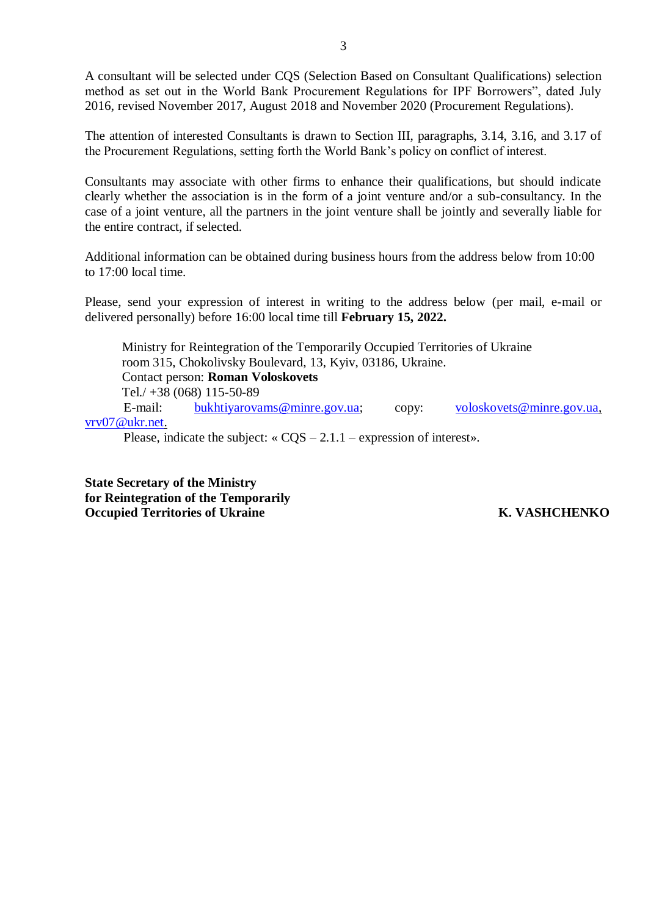A consultant will be selected under CQS (Selection Based on Consultant Qualifications) selection method as set out in the World Bank Procurement Regulations for IPF Borrowers", dated July 2016, revised November 2017, August 2018 and November 2020 (Procurement Regulations).

The attention of interested Consultants is drawn to Section III, paragraphs, 3.14, 3.16, and 3.17 of the Procurement Regulations, setting forth the World Bank's policy on conflict of interest.

Consultants may associate with other firms to enhance their qualifications, but should indicate clearly whether the association is in the form of a joint venture and/or a sub-consultancy. In the case of a joint venture, all the partners in the joint venture shall be jointly and severally liable for the entire contract, if selected.

Additional information can be obtained during business hours from the address below from 10:00 to 17:00 local time.

Please, send your expression of interest in writing to the address below (per mail, e-mail or delivered personally) before 16:00 local time till **February 15, 2022.**

Ministry for Reintegration of the Temporarily Occupied Territories of Ukraine room 315, Chokolivsky Boulevard, 13, Kyiv, 03186, Ukraine. Contact person: **Roman Voloskovets** Tel./ +38 (068) 115-50-89 E-mail: [bukhtiyarovams@minre.gov.ua;](mailto:bukhtiyarovams@minre.gov.ua) copy: [voloskovets@minre.gov.ua,](mailto:voloskovets@minre.gov.ua) [vrv07@ukr.net.](mailto:vrv07@ukr.net)

Please, indicate the subject:  $\angle$  CQS – 2.1.1 – expression of interest».

**State Secretary of the Ministry for Reintegration of the Temporarily Occupied Territories of Ukraine K. VASHCHENKO**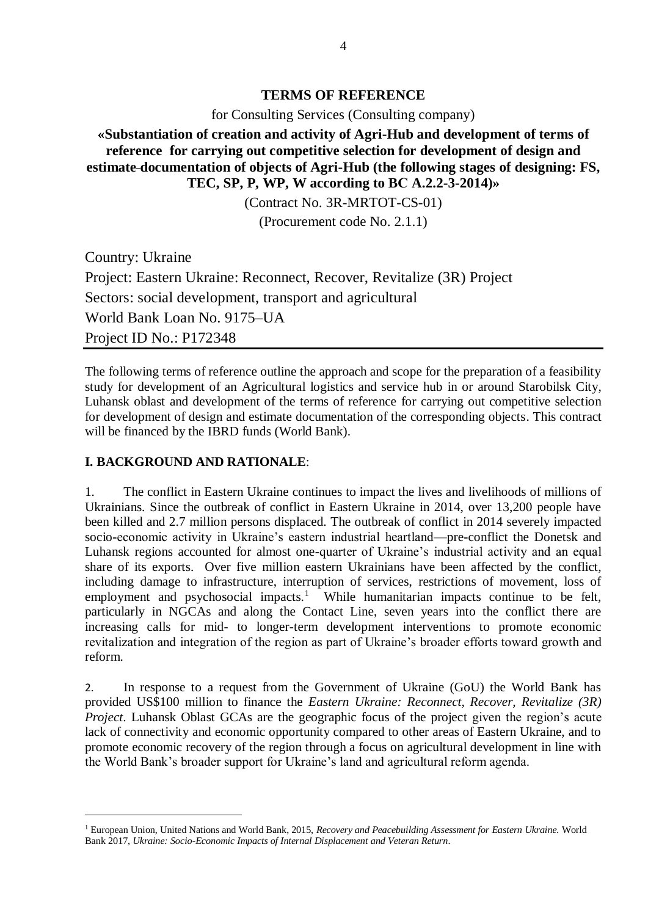## **TERMS OF REFERENCE**

for Consulting Services (Consulting company)

**«Substantiation of creation and activity of Agri-Hub and development of terms of reference for carrying out competitive selection for development of design and estimate documentation of objects of Agri-Hub (the following stages of designing: FS, TEC, SP, P, WP, W according to BС A.2.2-3-2014)»**

(Contract No. 3R-MRTOT-CS-01)

(Procurement code No. 2.1.1)

Country: Ukraine Project: Eastern Ukraine: Reconnect, Recover, Revitalize (3R) Project Sectors: social development, transport and agricultural World Bank Loan No. 9175–UA Project ID No.: P172348

The following terms of reference outline the approach and scope for the preparation of a feasibility study for development of an Agricultural logistics and service hub in or around Starobilsk City, Luhansk oblast and development of the terms of reference for carrying out competitive selection for development of design and estimate documentation of the corresponding objects. This contract will be financed by the IBRD funds (World Bank).

### **I. BACKGROUND AND RATIONALE**:

1

1. The conflict in Eastern Ukraine continues to impact the lives and livelihoods of millions of Ukrainians. Since the outbreak of conflict in Eastern Ukraine in 2014, over 13,200 people have been killed and 2.7 million persons displaced. The outbreak of conflict in 2014 severely impacted socio-economic activity in Ukraine's eastern industrial heartland—pre-conflict the Donetsk and Luhansk regions accounted for almost one-quarter of Ukraine's industrial activity and an equal share of its exports. Over five million eastern Ukrainians have been affected by the conflict, including damage to infrastructure, interruption of services, restrictions of movement, loss of employment and psychosocial impacts.<sup>1</sup> While humanitarian impacts continue to be felt, particularly in NGCAs and along the Contact Line, seven years into the conflict there are increasing calls for mid- to longer-term development interventions to promote economic revitalization and integration of the region as part of Ukraine's broader efforts toward growth and reform.

2. In response to a request from the Government of Ukraine (GoU) the World Bank has provided US\$100 million to finance the *Eastern Ukraine: Reconnect, Recover, Revitalize (3R) Project*. Luhansk Oblast GCAs are the geographic focus of the project given the region's acute lack of connectivity and economic opportunity compared to other areas of Eastern Ukraine, and to promote economic recovery of the region through a focus on agricultural development in line with the World Bank's broader support for Ukraine's land and agricultural reform agenda.

<sup>1</sup> European Union, United Nations and World Bank, 2015, *Recovery and Peacebuilding Assessment for Eastern Ukraine.* World Bank 2017, *Ukraine: Socio-Economic Impacts of Internal Displacement and Veteran Return*.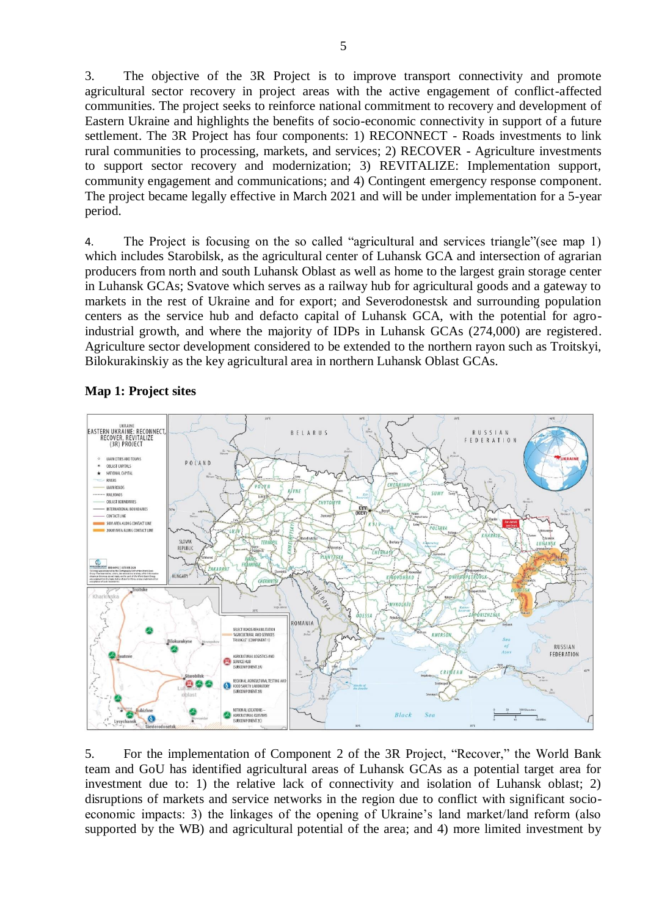3. The objective of the 3R Project is to improve transport connectivity and promote agricultural sector recovery in project areas with the active engagement of conflict-affected communities. The project seeks to reinforce national commitment to recovery and development of Eastern Ukraine and highlights the benefits of socio-economic connectivity in support of a future settlement. The 3R Project has four components: 1) RECONNECT - Roads investments to link rural communities to processing, markets, and services; 2) RECOVER - Agriculture investments to support sector recovery and modernization; 3) REVITALIZE: Implementation support, community engagement and communications; and 4) Contingent emergency response component. The project became legally effective in March 2021 and will be under implementation for a 5-year period.

4. The Project is focusing on the so called "agricultural and services triangle"(see map 1) which includes Starobilsk, as the agricultural center of Luhansk GCA and intersection of agrarian producers from north and south Luhansk Oblast as well as home to the largest grain storage center in Luhansk GCAs; Svatove which serves as a railway hub for agricultural goods and a gateway to markets in the rest of Ukraine and for export; and Severodonestsk and surrounding population centers as the service hub and defacto capital of Luhansk GCA, with the potential for agroindustrial growth, and where the majority of IDPs in Luhansk GCAs (274,000) are registered. Agriculture sector development considered to be extended to the northern rayon such as Troitskyi, Bilokurakinskiy as the key agricultural area in northern Luhansk Oblast GCAs.



# **Map 1: Project sites**

5. For the implementation of Component 2 of the 3R Project, "Recover," the World Bank team and GoU has identified agricultural areas of Luhansk GCAs as a potential target area for investment due to: 1) the relative lack of connectivity and isolation of Luhansk oblast; 2) disruptions of markets and service networks in the region due to conflict with significant socioeconomic impacts: 3) the linkages of the opening of Ukraine's land market/land reform (also supported by the WB) and agricultural potential of the area; and 4) more limited investment by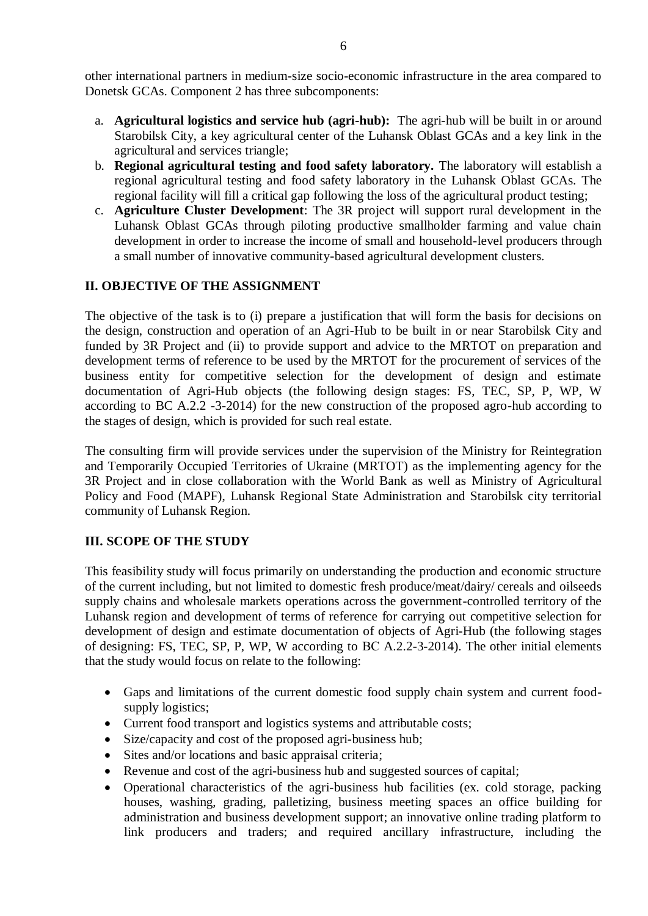other international partners in medium-size socio-economic infrastructure in the area compared to Donetsk GCAs. Component 2 has three subcomponents:

- a. **Agricultural logistics and service hub (agri-hub):** The agri-hub will be built in or around Starobilsk City, a key agricultural center of the Luhansk Oblast GCAs and a key link in the agricultural and services triangle;
- b. **Regional agricultural testing and food safety laboratory.** The laboratory will establish a regional agricultural testing and food safety laboratory in the Luhansk Oblast GCAs. The regional facility will fill a critical gap following the loss of the agricultural product testing;
- c. **Agriculture Cluster Development**: The 3R project will support rural development in the Luhansk Oblast GCAs through piloting productive smallholder farming and value chain development in order to increase the income of small and household-level producers through a small number of innovative community-based agricultural development clusters.

# **ІІ. OBJECTIVE OF THE ASSIGNMENT**

The objective of the task is to (i) prepare a justification that will form the basis for decisions on the design, construction and operation of an Agri-Hub to be built in or near Starobilsk City and funded by 3R Project and (ii) to provide support and advice to the MRTOT on preparation and development terms of reference to be used by the MRTOT for the procurement of services of the business entity for competitive selection for the development of design and estimate documentation of Agri-Hub objects (the following design stages: FS, TEC, SP, P, WP, W according to BC A.2.2 -3-2014) for the new construction of the proposed agro-hub according to the stages of design, which is provided for such real estate.

The consulting firm will provide services under the supervision of the Ministry for Reintegration and Temporarily Occupied Territories of Ukraine (MRTOT) as the implementing agency for the 3R Project and in close collaboration with the World Bank as well as Ministry of Agricultural Policy and Food (MAPF), Luhansk Regional State Administration and Starobilsk city territorial community of Luhansk Region.

#### **ІІІ. SCOPE OF THE STUDY**

This feasibility study will focus primarily on understanding the production and economic structure of the current including, but not limited to domestic fresh produce/meat/dairy/ cereals and oilseeds supply chains and wholesale markets operations across the government-controlled territory of the Luhansk region and development of terms of reference for carrying out competitive selection for development of design and estimate documentation of objects of Agri-Hub (the following stages of designing: FS, TEC, SP, P, WP, W according to ВС A.2.2-3-2014). The other initial elements that the study would focus on relate to the following:

- Gaps and limitations of the current domestic food supply chain system and current foodsupply logistics;
- Current food transport and logistics systems and attributable costs;
- Size/capacity and cost of the proposed agri-business hub;
- Sites and/or locations and basic appraisal criteria;
- Revenue and cost of the agri-business hub and suggested sources of capital;
- Operational characteristics of the agri-business hub facilities (ex. cold storage, packing houses, washing, grading, palletizing, business meeting spaces an office building for administration and business development support; an innovative online trading platform to link producers and traders; and required ancillary infrastructure, including the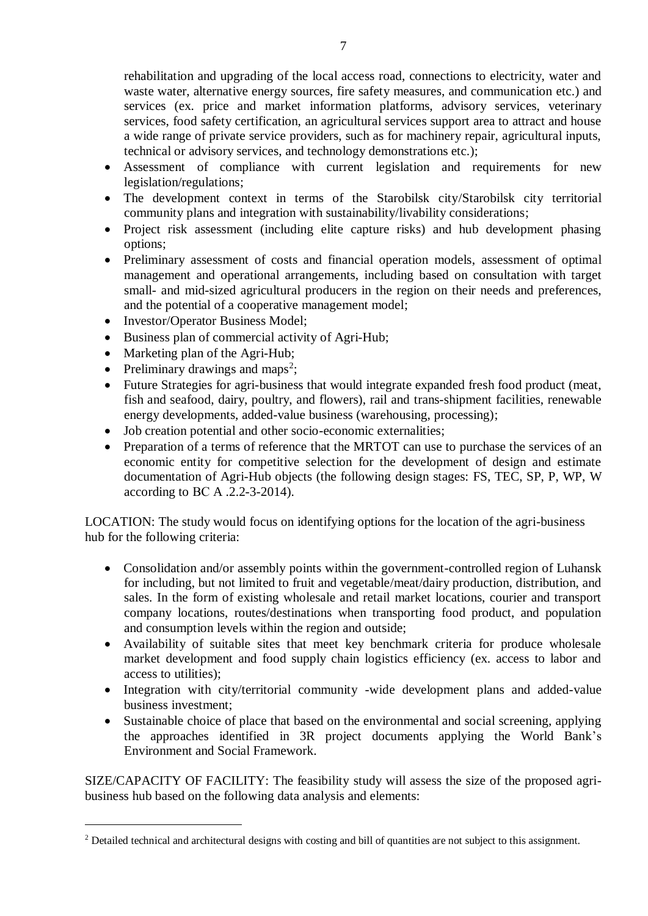rehabilitation and upgrading of the local access road, connections to electricity, water and waste water, alternative energy sources, fire safety measures, and communication etc.) and services (ex. price and market information platforms, advisory services, veterinary services, food safety certification, an agricultural services support area to attract and house a wide range of private service providers, such as for machinery repair, agricultural inputs, technical or advisory services, and technology demonstrations etc.);

- Assessment of compliance with current legislation and requirements for new legislation/regulations;
- The development context in terms of the Starobilsk city/Starobilsk city territorial community plans and integration with sustainability/livability considerations;
- Project risk assessment (including elite capture risks) and hub development phasing options;
- Preliminary assessment of costs and financial operation models, assessment of optimal management and operational arrangements, including based on consultation with target small- and mid-sized agricultural producers in the region on their needs and preferences, and the potential of a cooperative management model;
- Investor/Operator Business Model;
- Business plan of commercial activity of Agri-Hub;
- Marketing plan of the Agri-Hub;
- Preliminary drawings and maps<sup>2</sup>;

1

- Future Strategies for agri-business that would integrate expanded fresh food product (meat, fish and seafood, dairy, poultry, and flowers), rail and trans-shipment facilities, renewable energy developments, added-value business (warehousing, processing);
- Job creation potential and other socio-economic externalities;
- Preparation of a terms of reference that the MRTOT can use to purchase the services of an economic entity for competitive selection for the development of design and estimate documentation of Agri-Hub objects (the following design stages: FS, TEC, SP, P, WP, W according to ВС A .2.2-3-2014).

LOCATION: The study would focus on identifying options for the location of the agri-business hub for the following criteria:

- Consolidation and/or assembly points within the government-controlled region of Luhansk for including, but not limited to fruit and vegetable/meat/dairy production, distribution, and sales. In the form of existing wholesale and retail market locations, courier and transport company locations, routes/destinations when transporting food product, and population and consumption levels within the region and outside;
- Availability of suitable sites that meet key benchmark criteria for produce wholesale market development and food supply chain logistics efficiency (ex. access to labor and access to utilities);
- Integration with city/territorial community -wide development plans and added-value business investment;
- Sustainable choice of place that based on the environmental and social screening, applying the approaches identified in 3R project documents applying the World Bank's Environment and Social Framework.

SIZE/CAPACITY OF FACILITY: The feasibility study will assess the size of the proposed agribusiness hub based on the following data analysis and elements:

<sup>&</sup>lt;sup>2</sup> Detailed technical and architectural designs with costing and bill of quantities are not subject to this assignment.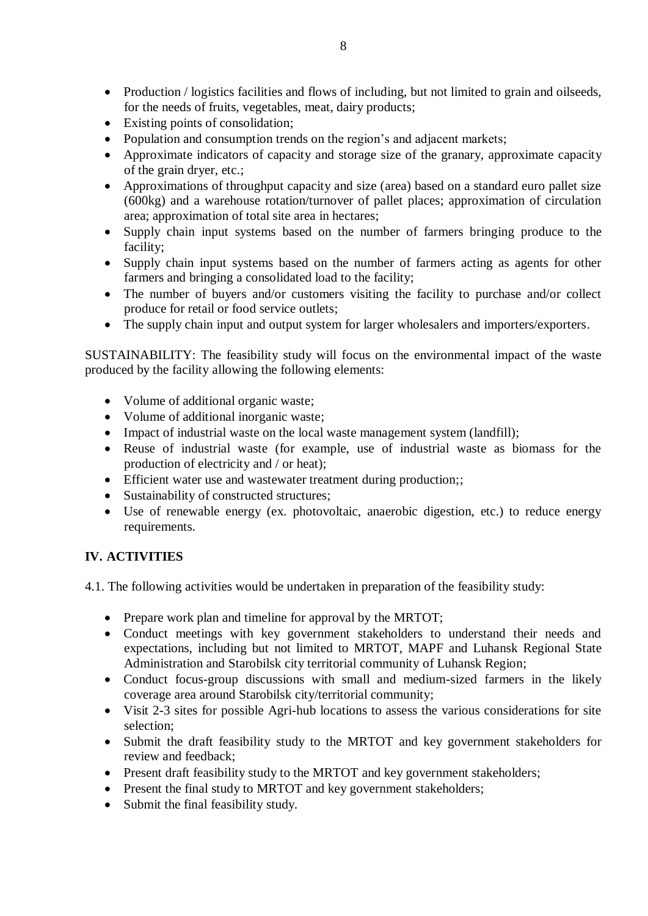- Production / logistics facilities and flows of including, but not limited to grain and oilseeds, for the needs of fruits, vegetables, meat, dairy products;
- Existing points of consolidation;
- Population and consumption trends on the region's and adjacent markets;
- Approximate indicators of capacity and storage size of the granary, approximate capacity of the grain dryer, etc.;
- Approximations of throughput capacity and size (area) based on a standard euro pallet size (600kg) and a warehouse rotation/turnover of pallet places; approximation of circulation area; approximation of total site area in hectares;
- Supply chain input systems based on the number of farmers bringing produce to the facility;
- Supply chain input systems based on the number of farmers acting as agents for other farmers and bringing a consolidated load to the facility;
- The number of buyers and/or customers visiting the facility to purchase and/or collect produce for retail or food service outlets;
- The supply chain input and output system for larger wholesalers and importers/exporters.

SUSTAINABILITY: The feasibility study will focus on the environmental impact of the waste produced by the facility allowing the following elements:

- Volume of additional organic waste;
- Volume of additional inorganic waste;
- Impact of industrial waste on the local waste management system (landfill);
- Reuse of industrial waste (for example, use of industrial waste as biomass for the production of electricity and / or heat);
- Efficient water use and wastewater treatment during production;;
- Sustainability of constructed structures;
- Use of renewable energy (ex. photovoltaic, anaerobic digestion, etc.) to reduce energy requirements.

# **IV. ACTIVITIES**

4.1. The following activities would be undertaken in preparation of the feasibility study:

- Prepare work plan and timeline for approval by the MRTOT;
- Conduct meetings with key government stakeholders to understand their needs and expectations, including but not limited to MRTOT, MAPF and Luhansk Regional State Administration and Starobilsk city territorial community of Luhansk Region;
- Conduct focus-group discussions with small and medium-sized farmers in the likely coverage area around Starobilsk city/territorial community;
- Visit 2-3 sites for possible Agri-hub locations to assess the various considerations for site selection;
- Submit the draft feasibility study to the MRTOT and key government stakeholders for review and feedback;
- Present draft feasibility study to the MRTOT and key government stakeholders;
- Present the final study to MRTOT and key government stakeholders;
- Submit the final feasibility study.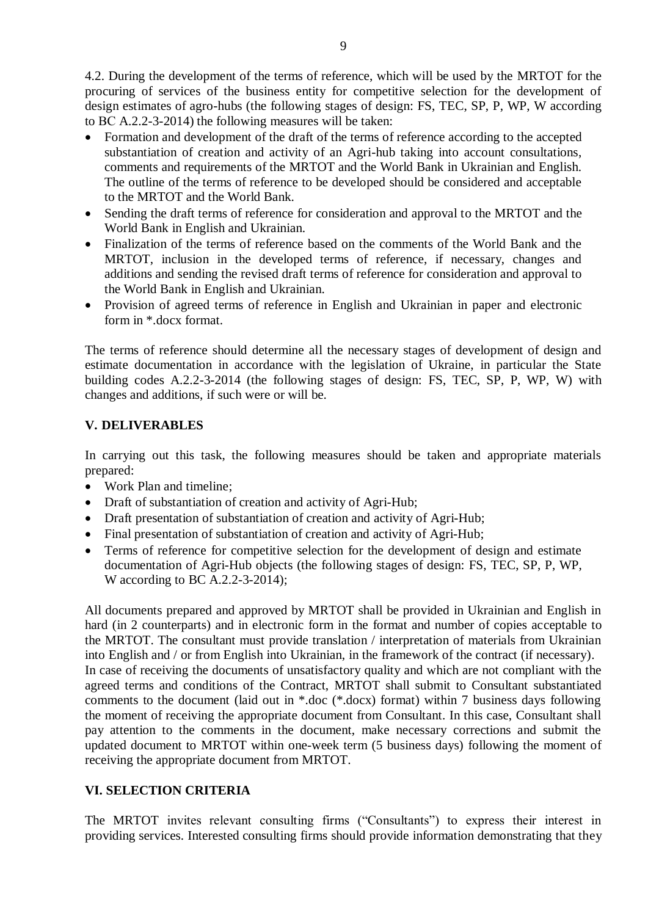4.2. During the development of the terms of reference, which will be used by the MRTOT for the procuring of services of the business entity for competitive selection for the development of design estimates of agro-hubs (the following stages of design: FS, TEC, SP, P, WP, W according to ВС A.2.2-3-2014) the following measures will be taken:

- Formation and development of the draft of the terms of reference according to the accepted substantiation of creation and activity of an Agri-hub taking into account consultations, comments and requirements of the MRTOT and the World Bank in Ukrainian and English. The outline of the terms of reference to be developed should be considered and acceptable to the MRTOT and the World Bank.
- Sending the draft terms of reference for consideration and approval to the MRTOT and the World Bank in English and Ukrainian.
- Finalization of the terms of reference based on the comments of the World Bank and the MRTOT, inclusion in the developed terms of reference, if necessary, changes and additions and sending the revised draft terms of reference for consideration and approval to the World Bank in English and Ukrainian.
- Provision of agreed terms of reference in English and Ukrainian in paper and electronic form in \*.docx format.

The terms of reference should determine all the necessary stages of development of design and estimate documentation in accordance with the legislation of Ukraine, in particular the State building codes A.2.2-3-2014 (the following stages of design: FS, TEC, SP, P, WP, W) with changes and additions, if such were or will be.

# **V. DELIVERABLES**

In carrying out this task, the following measures should be taken and appropriate materials prepared:

- Work Plan and timeline:
- Draft of substantiation of creation and activity of Agri-Hub;
- Draft presentation of substantiation of creation and activity of Agri-Hub;
- Final presentation of substantiation of creation and activity of Agri-Hub;
- Terms of reference for competitive selection for the development of design and estimate documentation of Agri-Hub objects (the following stages of design: FS, TEC, SP, P, WP, W according to BC A.2.2-3-2014);

All documents prepared and approved by MRTOT shall be provided in Ukrainian and English in hard (in 2 counterparts) and in electronic form in the format and number of copies acceptable to the MRTOT. The consultant must provide translation / interpretation of materials from Ukrainian into English and / or from English into Ukrainian, in the framework of the contract (if necessary). In case of receiving the documents of unsatisfactory quality and which are not compliant with the agreed terms and conditions of the Contract, MRTOT shall submit to Consultant substantiated comments to the document (laid out in \*.doc (\*.docx) format) within 7 business days following the moment of receiving the appropriate document from Consultant. In this case, Consultant shall pay attention to the comments in the document, make necessary corrections and submit the updated document to MRTOT within one-week term (5 business days) following the moment of receiving the appropriate document from MRTOT.

# **VІ. SELECTION CRITERIA**

The MRTOT invites relevant consulting firms ("Consultants") to express their interest in providing services. Interested consulting firms should provide information demonstrating that they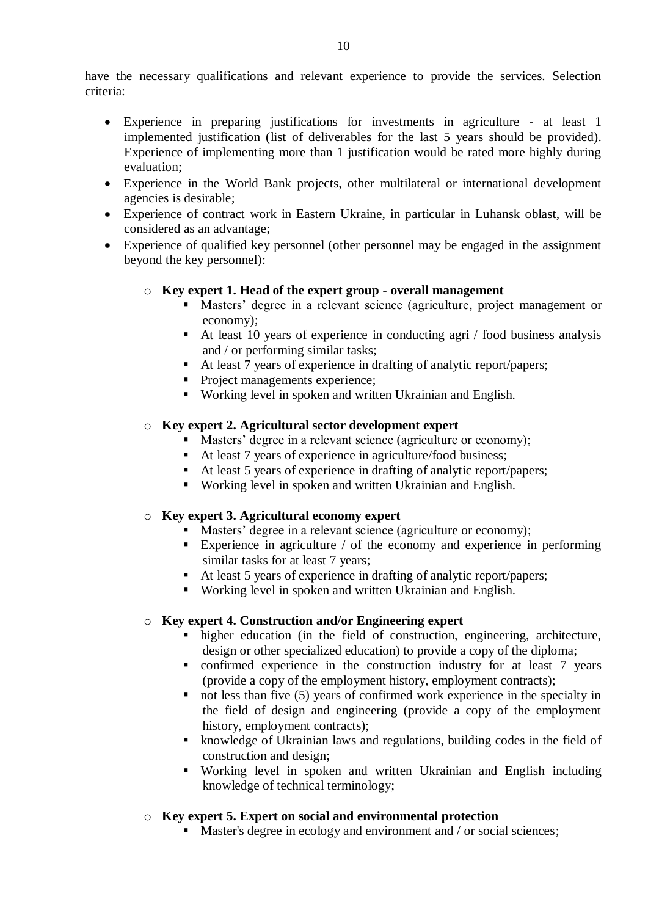have the necessary qualifications and relevant experience to provide the services. Selection criteria:

- Experience in preparing justifications for investments in agriculture at least 1 implemented justification (list of deliverables for the last 5 years should be provided). Experience of implementing more than 1 justification would be rated more highly during evaluation;
- Experience in the World Bank projects, other multilateral or international development agencies is desirable;
- Experience of contract work in Eastern Ukraine, in particular in Luhansk oblast, will be considered as an advantage;
- Experience of qualified key personnel (other personnel may be engaged in the assignment beyond the key personnel):

#### o **Key expert 1. Head of the expert group - overall management**

- Masters' degree in a relevant science (agriculture, project management or economy);
- At least 10 years of experience in conducting agri / food business analysis and / or performing similar tasks;
- At least 7 years of experience in drafting of analytic report/papers;
- Project managements experience;
- Working level in spoken and written Ukrainian and English.

## o **Key expert 2. Agricultural sector development expert**

- Masters' degree in a relevant science (agriculture or economy);
- At least 7 years of experience in agriculture/food business;
- At least 5 years of experience in drafting of analytic report/papers;
- Working level in spoken and written Ukrainian and English.

#### o **Key expert 3. Agricultural economy expert**

- Masters' degree in a relevant science (agriculture or economy);
- Experience in agriculture  $\ell$  of the economy and experience in performing similar tasks for at least 7 years;
- At least 5 years of experience in drafting of analytic report/papers;
- Working level in spoken and written Ukrainian and English.

#### o **Key expert 4. Construction and/or Engineering expert**

- higher education (in the field of construction, engineering, architecture, design or other specialized education) to provide a copy of the diploma;
- confirmed experience in the construction industry for at least 7 years (provide a copy of the employment history, employment contracts);
- $\blacksquare$  not less than five (5) years of confirmed work experience in the specialty in the field of design and engineering (provide a copy of the employment history, employment contracts);
- knowledge of Ukrainian laws and regulations, building codes in the field of construction and design;
- Working level in spoken and written Ukrainian and English including knowledge of technical terminology;

#### o **Key expert 5. Expert on social and environmental protection**

Master's degree in ecology and environment and / or social sciences;